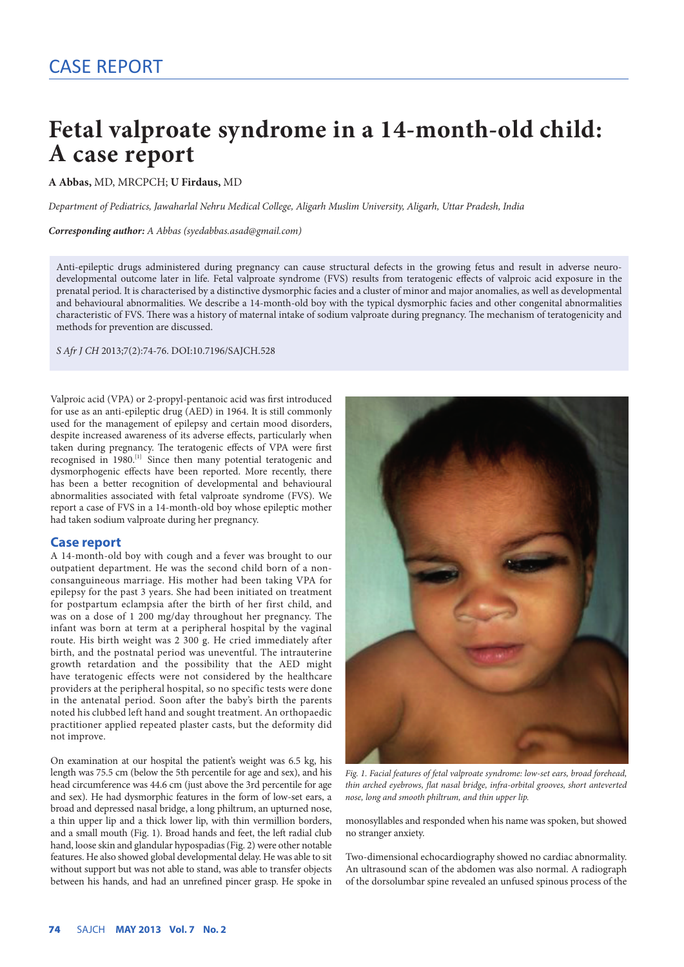## **Fetal valproate syndrome in a 14-month-old child: A case report**

**A Abbas,** MD, MRCPCH; **U Firdaus,** MD

*Department of Pediatrics, Jawaharlal Nehru Medical College, Aligarh Muslim University, Aligarh, Uttar Pradesh, India*

*Corresponding author: A Abbas ([syedabbas.asad@gmail.com\)](mailto:syedabbas.asad@gmail.com)*

Anti-epileptic drugs administered during pregnancy can cause structural defects in the growing fetus and result in adverse neurodevelopmental outcome later in life. Fetal valproate syndrome (FVS) results from teratogenic effects of valproic acid exposure in the prenatal period. It is characterised by a distinctive dysmorphic facies and a cluster of minor and major anomalies, as well as developmental and behavioural abnormalities. We describe a 14-month-old boy with the typical dysmorphic facies and other congenital abnormalities characteristic of FVS. There was a history of maternal intake of sodium valproate during pregnancy. The mechanism of teratogenicity and methods for prevention are discussed.

*S Afr J CH* 2013;7(2):74-76. DOI:10.7196/SAJCH.528

Valproic acid (VPA) or 2-propyl-pentanoic acid was first introduced for use as an anti-epileptic drug (AED) in 1964. It is still commonly used for the management of epilepsy and certain mood disorders, despite increased awareness of its adverse effects, particularly when taken during pregnancy. The teratogenic effects of VPA were first recognised in 1980.<sup>[1]</sup> Since then many potential teratogenic and dysmorphogenic effects have been reported. More recently, there has been a better recognition of developmental and behavioural abnormalities associated with fetal valproate syndrome (FVS). We report a case of FVS in a 14-month-old boy whose epileptic mother had taken sodium valproate during her pregnancy.

## **Case report**

A 14-month-old boy with cough and a fever was brought to our outpatient department. He was the second child born of a nonconsanguineous marriage. His mother had been taking VPA for epilepsy for the past 3 years. She had been initiated on treatment for postpartum eclampsia after the birth of her first child, and was on a dose of 1 200 mg/day throughout her pregnancy. The infant was born at term at a peripheral hospital by the vaginal route. His birth weight was 2 300 g. He cried immediately after birth, and the postnatal period was uneventful. The intrauterine growth retardation and the possibility that the AED might have teratogenic effects were not considered by the healthcare providers at the peripheral hospital, so no specific tests were done in the antenatal period. Soon after the baby's birth the parents noted his clubbed left hand and sought treatment. An orthopaedic practitioner applied repeated plaster casts, but the deformity did not improve.

On examination at our hospital the patient's weight was 6.5 kg, his length was 75.5 cm (below the 5th percentile for age and sex), and his head circumference was 44.6 cm (just above the 3rd percentile for age and sex). He had dysmorphic features in the form of low-set ears, a broad and depressed nasal bridge, a long philtrum, an upturned nose, a thin upper lip and a thick lower lip, with thin vermillion borders, and a small mouth (Fig. 1). Broad hands and feet, the left radial club hand, loose skin and glandular hypospadias (Fig. 2) were other notable features. He also showed global developmental delay. He was able to sit without support but was not able to stand, was able to transfer objects between his hands, and had an unrefined pincer grasp. He spoke in



*Fig. 1. Facial features of fetal valproate syndrome: low-set ears, broad forehead, thin arched eyebrows, flat nasal bridge, infra-orbital grooves, short anteverted nose, long and smooth philtrum, and thin upper lip.*

monosyllables and responded when his name was spoken, but showed no stranger anxiety.

Two-dimensional echocardiography showed no cardiac abnormality. An ultrasound scan of the abdomen was also normal. A radiograph of the dorsolumbar spine revealed an unfused spinous process of the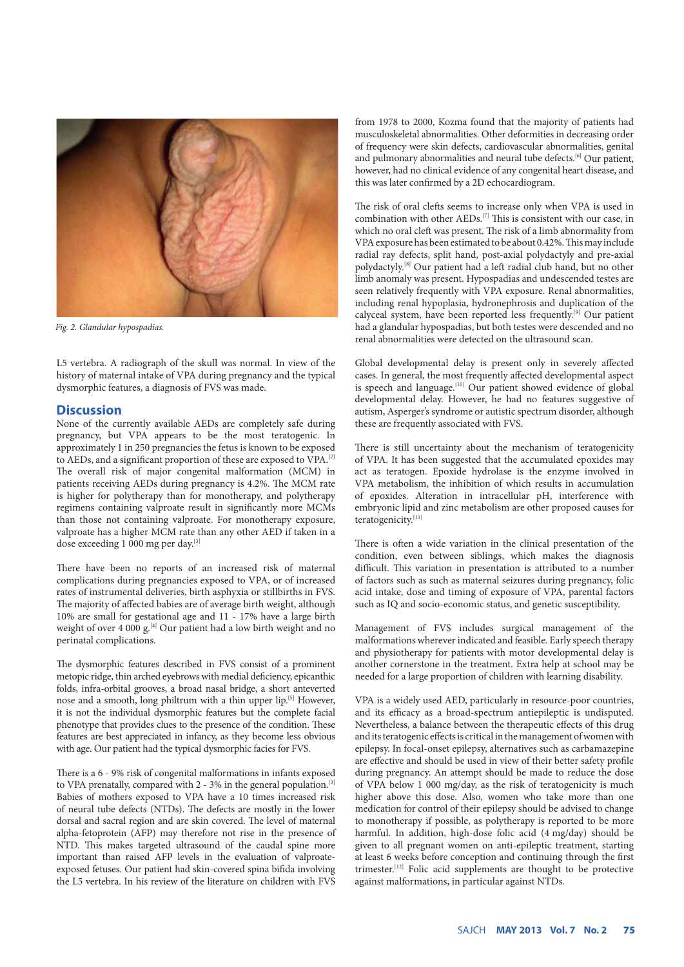

*Fig. 2. Glandular hypospadias.*

L5 vertebra. A radiograph of the skull was normal. In view of the history of maternal intake of VPA during pregnancy and the typical dysmorphic features, a diagnosis of FVS was made.

## **Discussion**

None of the currently available AEDs are completely safe during pregnancy, but VPA appears to be the most teratogenic. In approximately 1 in 250 pregnancies the fetus is known to be exposed to AEDs, and a significant proportion of these are exposed to VPA.[2] The overall risk of major congenital malformation (MCM) in patients receiving AEDs during pregnancy is 4.2%. The MCM rate is higher for polytherapy than for monotherapy, and polytherapy regimens containing valproate result in significantly more MCMs than those not containing valproate. For monotherapy exposure, valproate has a higher MCM rate than any other AED if taken in a dose exceeding 1 000 mg per day.<sup>[3]</sup>

There have been no reports of an increased risk of maternal complications during pregnancies exposed to VPA, or of increased rates of instrumental deliveries, birth asphyxia or stillbirths in FVS. The majority of affected babies are of average birth weight, although 10% are small for gestational age and 11 - 17% have a large birth weight of over 4 000  $g^{[4]}$  Our patient had a low birth weight and no perinatal complications.

The dysmorphic features described in FVS consist of a prominent metopic ridge, thin arched eyebrows with medial deficiency, epicanthic folds, infra-orbital grooves, a broad nasal bridge, a short anteverted nose and a smooth, long philtrum with a thin upper lip.[5] However, it is not the individual dysmorphic features but the complete facial phenotype that provides clues to the presence of the condition. These features are best appreciated in infancy, as they become less obvious with age. Our patient had the typical dysmorphic facies for FVS.

There is a 6 - 9% risk of congenital malformations in infants exposed to VPA prenatally, compared with 2 - 3% in the general population.<sup>[3]</sup> Babies of mothers exposed to VPA have a 10 times increased risk of neural tube defects (NTDs). The defects are mostly in the lower dorsal and sacral region and are skin covered. The level of maternal alpha-fetoprotein (AFP) may therefore not rise in the presence of NTD. This makes targeted ultrasound of the caudal spine more important than raised AFP levels in the evaluation of valproateexposed fetuses. Our patient had skin-covered spina bifida involving the L5 vertebra. In his review of the literature on children with FVS

from 1978 to 2000, Kozma found that the majority of patients had musculoskeletal abnormalities. Other deformities in decreasing order of frequency were skin defects, cardiovascular abnormalities, genital and pulmonary abnormalities and neural tube defects.<sup>[6]</sup> Our patient, however, had no clinical evidence of any congenital heart disease, and this was later confirmed by a 2D echocardiogram.

The risk of oral clefts seems to increase only when VPA is used in combination with other AEDs.[7] This is consistent with our case, in which no oral cleft was present. The risk of a limb abnormality from VPA exposure has been estimated to be about 0.42%. This may include radial ray defects, split hand, post-axial polydactyly and pre-axial polydactyly.[8] Our patient had a left radial club hand, but no other limb anomaly was present. Hypospadias and undescended testes are seen relatively frequently with VPA exposure. Renal abnormalities, including renal hypoplasia, hydronephrosis and duplication of the calyceal system, have been reported less frequently.[9] Our patient had a glandular hypospadias, but both testes were descended and no renal abnormalities were detected on the ultrasound scan.

Global developmental delay is present only in severely affected cases. In general, the most frequently affected developmental aspect is speech and language.<sup>[10]</sup> Our patient showed evidence of global developmental delay. However, he had no features suggestive of autism, Asperger's syndrome or autistic spectrum disorder, although these are frequently associated with FVS.

There is still uncertainty about the mechanism of teratogenicity of VPA. It has been suggested that the accumulated epoxides may act as teratogen. Epoxide hydrolase is the enzyme involved in VPA metabolism, the inhibition of which results in accumulation of epoxides. Alteration in intracellular pH, interference with embryonic lipid and zinc metabolism are other proposed causes for teratogenicity.[11]

There is often a wide variation in the clinical presentation of the condition, even between siblings, which makes the diagnosis difficult. This variation in presentation is attributed to a number of factors such as such as maternal seizures during pregnancy, folic acid intake, dose and timing of exposure of VPA, parental factors such as IQ and socio-economic status, and genetic susceptibility.

Management of FVS includes surgical management of the malformations wherever indicated and feasible. Early speech therapy and physiotherapy for patients with motor developmental delay is another cornerstone in the treatment. Extra help at school may be needed for a large proportion of children with learning disability.

VPA is a widely used AED, particularly in resource-poor countries, and its efficacy as a broad-spectrum antiepileptic is undisputed. Nevertheless, a balance between the therapeutic effects of this drug and its teratogenic effects is critical in the management of women with epilepsy. In focal-onset epilepsy, alternatives such as carbamazepine are effective and should be used in view of their better safety profile during pregnancy. An attempt should be made to reduce the dose of VPA below 1 000 mg/day, as the risk of teratogenicity is much higher above this dose. Also, women who take more than one medication for control of their epilepsy should be advised to change to monotherapy if possible, as polytherapy is reported to be more harmful. In addition, high-dose folic acid (4 mg/day) should be given to all pregnant women on anti-epileptic treatment, starting at least 6 weeks before conception and continuing through the first trimester.[12] Folic acid supplements are thought to be protective against malformations, in particular against NTDs.